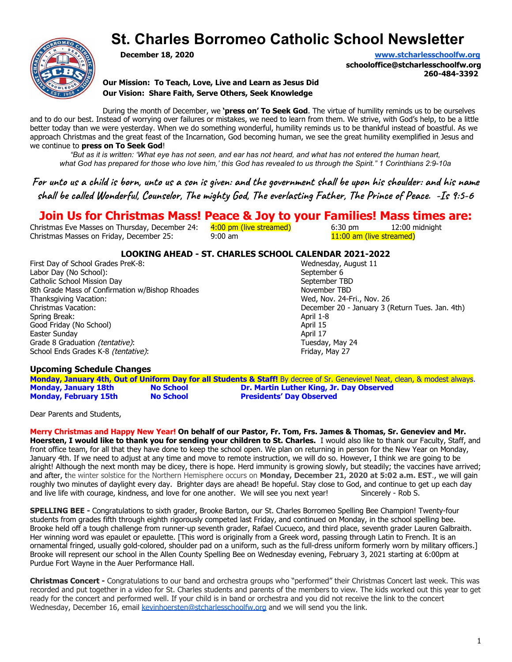## **St. Charles Borromeo Catholic School Newsletter**



**December 18, 2020 [www.stcharlesschoolfw.org](http://www.stcharlesschoolfw.org/)**

**schooloffice@stcharlesschoolfw.org 260-484-3392**

**Our Mission: To Teach, Love, Live and Learn as Jesus Did Our Vision: Share Faith, Serve Others, Seek Knowledge**

During the month of December, we **'press on' To Seek God**. The virtue of humility reminds us to be ourselves and to do our best. Instead of worrying over failures or mistakes, we need to learn from them. We strive, with God's help, to be a little better today than we were yesterday. When we do something wonderful, humility reminds us to be thankful instead of boastful. As we approach Christmas and the great feast of the Incarnation, God becoming human, we see the great humility exemplified in Jesus and we continue to **press on To Seek God**!

*"But as it is written: 'What eye has not seen, and ear has not heard, and what has not entered the human heart, what God has prepared for those who love him,' this God has revealed to us through the Spirit." 1 Corinthians 2:9-10a*

For unto us a child is born, unto us a son is given: and the government shall be upon his shoulder: and his name shall be called Wonderful, Counselor, The mighty God, The everlasting Father, The Prince of Peace. -Is 9:5-6

### **Join Us for Christmas Mass! Peace & Joy to your Families! Mass times are:**

Christmas Eve Masses on Thursday, December 24:  $\frac{4:00 \text{ pm}}{1}$  (live streamed) 6:30 pm 12:00 midnight Christmas Masses on Friday, December 25: 9:00 am 11:00 am 11:00 am (live streamed)

# **LOOKING AHEAD - ST. CHARLES SCHOOL CALENDAR 2021-2022**

First Day of School Grades PreK-8: Wednesday, Nednesday, August 11: Nednesday, August 11: Nednesday, August 11: Nednesday, August 11: Nednesday, August 11: Nednesday, August 11: Nednesday, August 11: Nednesday, August 11: Labor Day (No School):<br>
Catholic School Mission Day **September 6**<br>
September TBD Catholic School Mission Day<br>
8th Grade Mass of Confirmation w/Bishop Rhoades<br>
November TBD 8th Grade Mass of Confirmation w/Bishop Rhoades<br>Thanksgiving Vacation: Thanksgiving Vacation: Thanksgiving Vacation: Wed, Nov. 24-Fri., Nov. 26<br>Christmas Vacation: Wed, Nov. 26 December 20 - January 3 (I Spring Break: Good Friday (No School) **April 15** and the set of the set of the set of the set of the set of the set of the set of the set of the set of the set of the set of the set of the set of the set of the set of the set of the set Easter Sunday April 17 Grade 8 Graduation (tentative): Tuesday, May 24 School Ends Grades K-8 *(tentative)*: Friday, May 27

December 20 - January 3 (Return Tues. Jan. 4th)<br>April 1-8

#### **Upcoming Schedule Changes**

**Monday, January 4th, Out of Uniform Day for all Students & Staff!** By decree of Sr. Genevieve! Neat, clean, & modest always. **Monday, January 18th No School Dr. Martin Luther King, Jr. Day Observed Presidents' Day Observed** 

Dear Parents and Students,

**Merry Christmas and Happy New Year! On behalf of our Pastor, Fr. Tom, Frs. James & Thomas, Sr. Geneviev and Mr. Hoersten, I would like to thank you for sending your children to St. Charles.** I would also like to thank our Faculty, Staff, and front office team, for all that they have done to keep the school open. We plan on returning in person for the New Year on Monday, January 4th. If we need to adjust at any time and move to remote instruction, we will do so. However, I think we are going to be alright! Although the next month may be dicey, there is hope. Herd immunity is growing slowly, but steadily; the vaccines have arrived; and after, the winter solstice for the Northern Hemisphere occurs on **Monday, December 21, 2020 at 5:02 a.m. EST**., we will gain roughly two minutes of daylight every day. Brighter days are ahead! Be hopeful. Stay close to God, and continue to get up each day<br>and live life with courage, kindness, and love for one another. We will see you next year! and live life with courage, kindness, and love for one another. We will see you next year!

**SPELLING BEE -** Congratulations to sixth grader, Brooke Barton, our St. Charles Borromeo Spelling Bee Champion! Twenty-four students from grades fifth through eighth rigorously competed last Friday, and continued on Monday, in the school spelling bee. Brooke held off a tough challenge from runner-up seventh grader, Rafael Cucueco, and third place, seventh grader Lauren Galbraith. Her winning word was epaulet or epaulette. [This word is originally from a Greek word, passing through Latin to French. It is an ornamental fringed, usually gold-colored, shoulder pad on a uniform, such as the full-dress uniform formerly worn by military officers.] Brooke will represent our school in the Allen County Spelling Bee on Wednesday evening, February 3, 2021 starting at 6:00pm at Purdue Fort Wayne in the Auer Performance Hall.

**Christmas Concert -** Congratulations to our band and orchestra groups who "performed" their Christmas Concert last week. This was recorded and put together in a video for St. Charles students and parents of the members to view. The kids worked out this year to get ready for the concert and performed well. If your child is in band or orchestra and you did not receive the link to the concert Wednesday, December 16, email [kevinhoersten@stcharlesschoolfw.org](mailto:kevinhoersten@stcharlesschoolfw.org) and we will send you the link.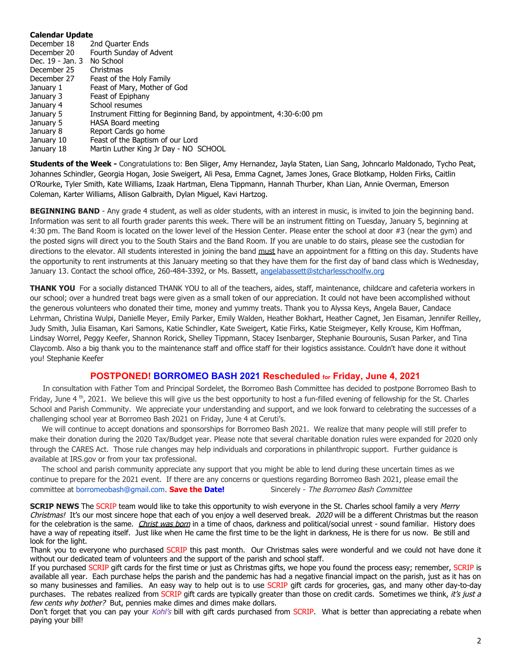#### **Calendar Update**

| December 18      | 2nd Quarter Ends                                                    |
|------------------|---------------------------------------------------------------------|
| December 20      | Fourth Sunday of Advent                                             |
| Dec. 19 - Jan. 3 | No School                                                           |
| December 25      | Christmas                                                           |
| December 27      | Feast of the Holy Family                                            |
| January 1        | Feast of Mary, Mother of God                                        |
| January 3        | Feast of Epiphany                                                   |
| January 4        | School resumes                                                      |
| January 5        | Instrument Fitting for Beginning Band, by appointment, 4:30-6:00 pm |
| January 5        | HASA Board meeting                                                  |
| January 8        | Report Cards go home                                                |
| January 10       | Feast of the Baptism of our Lord                                    |
| January 18       | Martin Luther King Jr Day - NO SCHOOL                               |

**Students of the Week -** Congratulations to: Ben Sliger, Amy Hernandez, Jayla Staten, Lian Sang, Johncarlo Maldonado, Tycho Peat, Johannes Schindler, Georgia Hogan, Josie Sweigert, Ali Pesa, Emma Cagnet, James Jones, Grace Blotkamp, Holden Firks, Caitlin O'Rourke, Tyler Smith, Kate Williams, Izaak Hartman, Elena Tippmann, Hannah Thurber, Khan Lian, Annie Overman, Emerson Coleman, Karter Williams, Allison Galbraith, Dylan Miguel, Kavi Hartzog.

BEGINNING BAND - Any grade 4 student, as well as older students, with an interest in music, is invited to join the beginning band. Information was sent to all fourth grader parents this week. There will be an instrument fitting on Tuesday, January 5, beginning at 4:30 pm. The Band Room is located on the lower level of the Hession Center. Please enter the school at door #3 (near the gym) and the posted signs will direct you to the South Stairs and the Band Room. If you are unable to do stairs, please see the custodian for directions to the elevator. All students interested in joining the band must have an appointment for a fitting on this day. Students have the opportunity to rent instruments at this January meeting so that they have them for the first day of band class which is Wednesday, January 13. Contact the school office, 260-484-3392, or Ms. Bassett, [angelabassett@stcharlesschoolfw.org](mailto:angelabassett@stcharlesschoolfw.org)

**THANK YOU** For a socially distanced THANK YOU to all of the teachers, aides, staff, maintenance, childcare and cafeteria workers in our school; over a hundred treat bags were given as a small token of our appreciation. It could not have been accomplished without the generous volunteers who donated their time, money and yummy treats. Thank you to Alyssa Keys, Angela Bauer, Candace Lehrman, Christina Wulpi, Danielle Meyer, Emily Parker, Emily Walden, Heather Bokhart, Heather Cagnet, Jen Eisaman, Jennifer Reilley, Judy Smith, Julia Eisaman, Kari Samons, Katie Schindler, Kate Sweigert, Katie Firks, Katie Steigmeyer, Kelly Krouse, Kim Hoffman, Lindsay Worrel, Peggy Keefer, Shannon Rorick, Shelley Tippmann, Stacey Isenbarger, Stephanie Bourounis, Susan Parker, and Tina Claycomb. Also a big thank you to the maintenance staff and office staff for their logistics assistance. Couldn't have done it without you! Stephanie Keefer

#### **POSTPONED! BORROMEO BASH 2021 Rescheduled for Friday, June 4, 2021**

 In consultation with Father Tom and Principal Sordelet, the Borromeo Bash Committee has decided to postpone Borromeo Bash to Friday, June 4  $^{\text{th}}$ , 2021. We believe this will give us the best opportunity to host a fun-filled evening of fellowship for the St. Charles School and Parish Community. We appreciate your understanding and support, and we look forward to celebrating the successes of a challenging school year at Borromeo Bash 2021 on Friday, June 4 at Ceruti's.

 We will continue to accept donations and sponsorships for Borromeo Bash 2021. We realize that many people will still prefer to make their donation during the 2020 Tax/Budget year. Please note that several charitable donation rules were expanded for 2020 only through the CARES Act. Those rule changes may help individuals and corporations in philanthropic support. Further guidance is available at IRS.gov or from your tax professional.

 The school and parish community appreciate any support that you might be able to lend during these uncertain times as we continue to prepare for the 2021 event. If there are any concerns or questions regarding Borromeo Bash 2021, please email the committee at borromeobash@gmail.com. **Save the Date!** Sincerely - The Borromeo Bash Committee

**SCRIP NEWS** The SCRIP team would like to take this opportunity to wish everyone in the St. Charles school family a very Merry Christmas! It's our most sincere hope that each of you enjoy a well deserved break. 2020 will be a different Christmas but the reason for the celebration is the same. Christ was born in a time of chaos, darkness and political/social unrest - sound familiar. History does have a way of repeating itself. Just like when He came the first time to be the light in darkness, He is there for us now. Be still and look for the light.

Thank you to everyone who purchased SCRIP this past month. Our Christmas sales were wonderful and we could not have done it without our dedicated team of volunteers and the support of the parish and school staff.

If you purchased SCRIP gift cards for the first time or just as Christmas gifts, we hope you found the process easy; remember, SCRIP is available all year. Each purchase helps the parish and the pandemic has had a negative financial impact on the parish, just as it has on so many businesses and families. An easy way to help out is to use SCRIP gift cards for groceries, gas, and many other day-to-day purchases. The rebates realized from SCRIP gift cards are typically greater than those on credit cards. Sometimes we think, it's just a few cents why bother? But, pennies make dimes and dimes make dollars.

Don't forget that you can pay your Kohl's bill with gift cards purchased from SCRIP. What is better than appreciating a rebate when paying your bill!